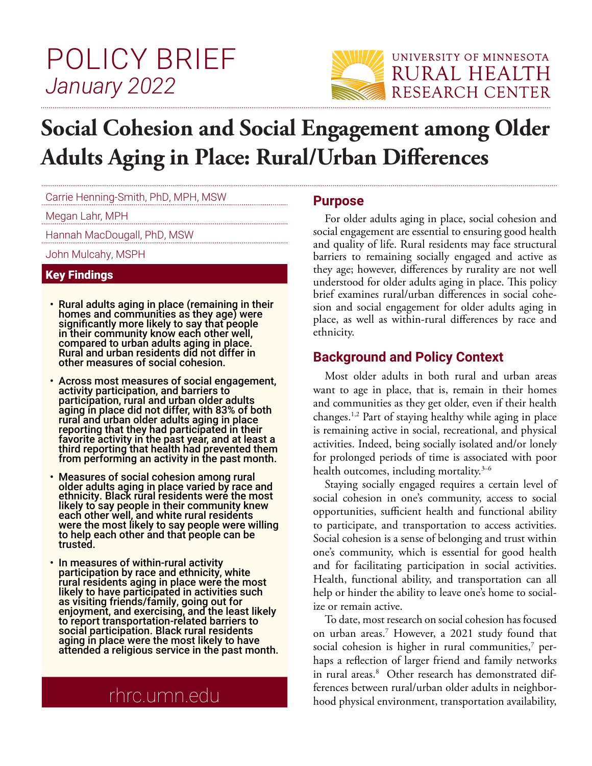# POLICY BRIEF *January 2022*



# **Social Cohesion and Social Engagement among Older Adults Aging in Place: Rural/Urban Differences**

Carrie Henning-Smith, PhD, MPH, MSW

Megan Lahr, MPH

Hannah MacDougall, PhD, MSW

John Mulcahy, MSPH

#### Key Findings

- Rural adults aging in place (remaining in their homes and communities as they age) were significantly more likely to say that people in their community know each other well, compared to urban adults aging in place. Rural and urban residents did not differ in other measures of social cohesion.
- Across most measures of social engagement, activity participation, and barriers to participation, rural and urban older adults aging in place did not differ, with 83% of both rural and urban older adults aging in place reporting that they had participated in their favorite activity in the past year, and at least a third reporting that health had prevented them from performing an activity in the past month.
- Measures of social cohesion among rural older adults aging in place varied by race and ethnicity. Black rural residents were the most likely to say people in their community knew each other well, and white rural residents were the most likely to say people were willing to help each other and that people can be trusted.
- In measures of within-rural activity participation by race and ethnicity, white rural residents aging in place were the most likely to have participated in activities such as visiting friends/family, going out for enjoyment, and exercising, and the least likely to report transportation-related barriers to social participation. Black rural residents aging in place were the most likely to have attended a religious service in the past month.

## rhrc.umn.edu

#### **Purpose**

For older adults aging in place, social cohesion and social engagement are essential to ensuring good health and quality of life. Rural residents may face structural barriers to remaining socially engaged and active as they age; however, differences by rurality are not well understood for older adults aging in place. This policy brief examines rural/urban differences in social cohesion and social engagement for older adults aging in place, as well as within-rural differences by race and ethnicity.

## **Background and Policy Context**

Most older adults in both rural and urban areas want to age in place, that is, remain in their homes and communities as they get older, even if their health changes.1,2 Part of staying healthy while aging in place is remaining active in social, recreational, and physical activities. Indeed, being socially isolated and/or lonely for prolonged periods of time is associated with poor health outcomes, including mortality.<sup>3-6</sup>

Staying socially engaged requires a certain level of social cohesion in one's community, access to social opportunities, sufficient health and functional ability to participate, and transportation to access activities. Social cohesion is a sense of belonging and trust within one's community, which is essential for good health and for facilitating participation in social activities. Health, functional ability, and transportation can all help or hinder the ability to leave one's home to socialize or remain active.

To date, most research on social cohesion has focused on urban areas.7 However, a 2021 study found that social cohesion is higher in rural communities, $^7$  perhaps a reflection of larger friend and family networks in rural areas.8 Other research has demonstrated differences between rural/urban older adults in neighborhood physical environment, transportation availability,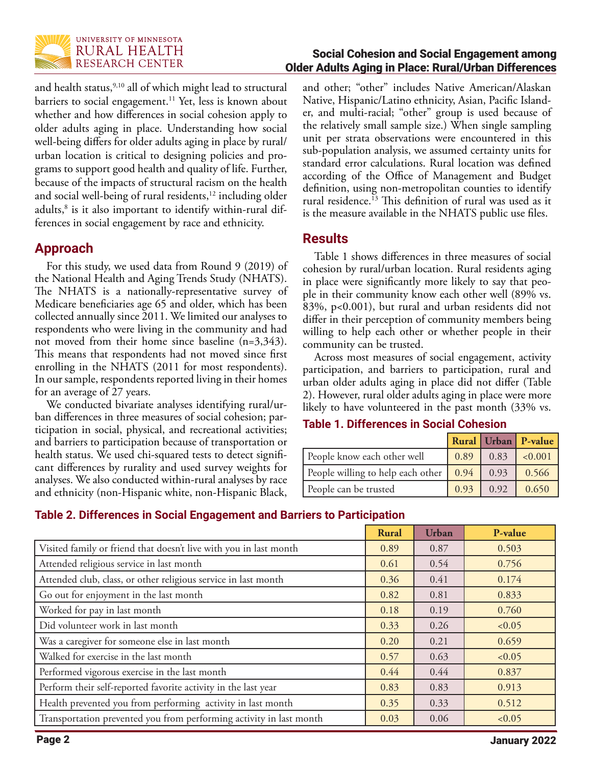

and health status,<sup>9,10</sup> all of which might lead to structural barriers to social engagement.<sup>11</sup> Yet, less is known about whether and how differences in social cohesion apply to older adults aging in place. Understanding how social well-being differs for older adults aging in place by rural/ urban location is critical to designing policies and programs to support good health and quality of life. Further, because of the impacts of structural racism on the health and social well-being of rural residents,<sup>12</sup> including older adults,<sup>8</sup> is it also important to identify within-rural differences in social engagement by race and ethnicity.

## **Approach**

For this study, we used data from Round 9 (2019) of the National Health and Aging Trends Study (NHATS). The NHATS is a nationally-representative survey of Medicare beneficiaries age 65 and older, which has been collected annually since 2011. We limited our analyses to respondents who were living in the community and had not moved from their home since baseline (n=3,343). This means that respondents had not moved since first enrolling in the NHATS (2011 for most respondents). In our sample, respondents reported living in their homes for an average of 27 years.

We conducted bivariate analyses identifying rural/urban differences in three measures of social cohesion; participation in social, physical, and recreational activities; and barriers to participation because of transportation or health status. We used chi-squared tests to detect significant differences by rurality and used survey weights for analyses. We also conducted within-rural analyses by race and ethnicity (non-Hispanic white, non-Hispanic Black,

#### Social Cohesion and Social Engagement among Older Adults Aging in Place: Rural/Urban Differences

and other; "other" includes Native American/Alaskan Native, Hispanic/Latino ethnicity, Asian, Pacific Islander, and multi-racial; "other" group is used because of the relatively small sample size.) When single sampling unit per strata observations were encountered in this sub-population analysis, we assumed certainty units for standard error calculations. Rural location was defined according of the Office of Management and Budget definition, using non-metropolitan counties to identify rural residence.<sup>13</sup> This definition of rural was used as it is the measure available in the NHATS public use files.

## **Results**

Table 1 shows differences in three measures of social cohesion by rural/urban location. Rural residents aging in place were significantly more likely to say that people in their community know each other well (89% vs. 83%, p<0.001), but rural and urban residents did not differ in their perception of community members being willing to help each other or whether people in their community can be trusted.

Across most measures of social engagement, activity participation, and barriers to participation, rural and urban older adults aging in place did not differ (Table 2). However, rural older adults aging in place were more likely to have volunteered in the past month (33% vs.

#### **Table 1. Differences in Social Cohesion**

|                                                                                                          |                                                                                  | <b>Rural Urban P-value</b> |
|----------------------------------------------------------------------------------------------------------|----------------------------------------------------------------------------------|----------------------------|
| People know each other well                                                                              |                                                                                  | $0.89$ 0.83 $\leq 0.001$   |
| People willing to help each other $\begin{array}{ c c c c c c } \hline 0.94 & 0.93 \\\hline \end{array}$ |                                                                                  | 0.566                      |
| People can be trusted                                                                                    | $\begin{array}{ c c c c c c c c } \hline 0.93 & 0.92 & 0.650 \hline \end{array}$ |                            |

## **Table 2. Differences in Social Engagement and Barriers to Participation**

|                                                                     | <b>Rural</b> | <b>Urban</b> | P-value |
|---------------------------------------------------------------------|--------------|--------------|---------|
| Visited family or friend that doesn't live with you in last month   | 0.89         | 0.87         | 0.503   |
| Attended religious service in last month                            | 0.61         | 0.54         | 0.756   |
| Attended club, class, or other religious service in last month      | 0.36         | 0.41         | 0.174   |
| Go out for enjoyment in the last month                              | 0.82         | 0.81         | 0.833   |
| Worked for pay in last month                                        | 0.18         | 0.19         | 0.760   |
| Did volunteer work in last month                                    | 0.33         | 0.26         | < 0.05  |
| Was a caregiver for someone else in last month                      | 0.20         | 0.21         | 0.659   |
| Walked for exercise in the last month                               | 0.57         | 0.63         | < 0.05  |
| Performed vigorous exercise in the last month                       | 0.44         | 0.44         | 0.837   |
| Perform their self-reported favorite activity in the last year      | 0.83         | 0.83         | 0.913   |
| Health prevented you from performing activity in last month         | 0.35         | 0.33         | 0.512   |
| Transportation prevented you from performing activity in last month | 0.03         | 0.06         | < 0.05  |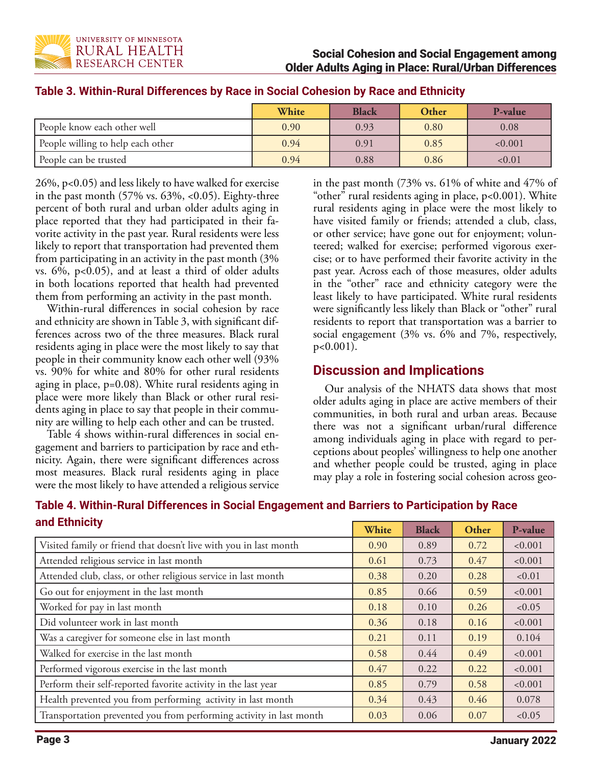

|                                   | White | <b>Black</b> | Other | P-value |
|-----------------------------------|-------|--------------|-------|---------|
| People know each other well       | 0.90  | 0.93         | 0.80  | 0.08    |
| People willing to help each other | 0.94  | 0.91         | 0.85  | < 0.001 |
| People can be trusted             | 0.94  | 0.88         | 0.86  | < 0.01  |

#### **Table 3. Within-Rural Differences by Race in Social Cohesion by Race and Ethnicity**

26%, p<0.05) and less likely to have walked for exercise in the past month (57% vs. 63%, <0.05). Eighty-three percent of both rural and urban older adults aging in place reported that they had participated in their favorite activity in the past year. Rural residents were less likely to report that transportation had prevented them from participating in an activity in the past month (3% vs. 6%, p<0.05), and at least a third of older adults in both locations reported that health had prevented them from performing an activity in the past month.

Within-rural differences in social cohesion by race and ethnicity are shown in Table 3, with significant differences across two of the three measures. Black rural residents aging in place were the most likely to say that people in their community know each other well (93% vs. 90% for white and 80% for other rural residents aging in place, p=0.08). White rural residents aging in place were more likely than Black or other rural residents aging in place to say that people in their community are willing to help each other and can be trusted.

Table 4 shows within-rural differences in social engagement and barriers to participation by race and ethnicity. Again, there were significant differences across most measures. Black rural residents aging in place were the most likely to have attended a religious service in the past month (73% vs. 61% of white and 47% of "other" rural residents aging in place, p<0.001). White rural residents aging in place were the most likely to have visited family or friends; attended a club, class, or other service; have gone out for enjoyment; volunteered; walked for exercise; performed vigorous exercise; or to have performed their favorite activity in the past year. Across each of those measures, older adults in the "other" race and ethnicity category were the least likely to have participated. White rural residents were significantly less likely than Black or "other" rural residents to report that transportation was a barrier to social engagement (3% vs. 6% and 7%, respectively, p<0.001).

## **Discussion and Implications**

Our analysis of the NHATS data shows that most older adults aging in place are active members of their communities, in both rural and urban areas. Because there was not a significant urban/rural difference among individuals aging in place with regard to perceptions about peoples' willingness to help one another and whether people could be trusted, aging in place may play a role in fostering social cohesion across geo-

| and Ethnicity                                                     |       |              |       |         |  |
|-------------------------------------------------------------------|-------|--------------|-------|---------|--|
|                                                                   | White | <b>Black</b> | Other | P-value |  |
| Visited family or friend that doesn't live with you in last month | 0.90  | 0.89         | 0.72  | < 0.001 |  |
| Attended religious service in last month                          | 0.61  | 0.73         | 0.47  | < 0.001 |  |
| Attended club, class, or other religious service in last month    | 0.38  | 0.20         | 0.28  | < 0.01  |  |
| Go out for enjoyment in the last month                            | 0.85  | 0.66         | 0.59  | < 0.001 |  |
| Worked for pay in last month                                      | 0.18  | 0.10         | 0.26  | < 0.05  |  |
| Did volunteer work in last month                                  | 0.36  | 0.18         | 0.16  | < 0.001 |  |
| Was a caregiver for someone else in last month                    | 0.21  | 0.11         | 0.19  | 0.104   |  |
| Walked for exercise in the last month                             | 0.58  | 0.44         | 0.49  | < 0.001 |  |
| Performed vigorous exercise in the last month                     | 0.47  | 0.22         | 0.22  | < 0.001 |  |
| Perform their self-reported favorite activity in the last year    | 0.85  | 0.79         | 0.58  | < 0.001 |  |
| Health prevented you from performing activity in last month       | 0.34  | 0.43         | 0.46  | 0.078   |  |

Transportation prevented you from performing activity in last month  $0.03 \, 0.06 \, 0.07 \, 0.07$ 

## **Table 4. Within-Rural Differences in Social Engagement and Barriers to Participation by Race**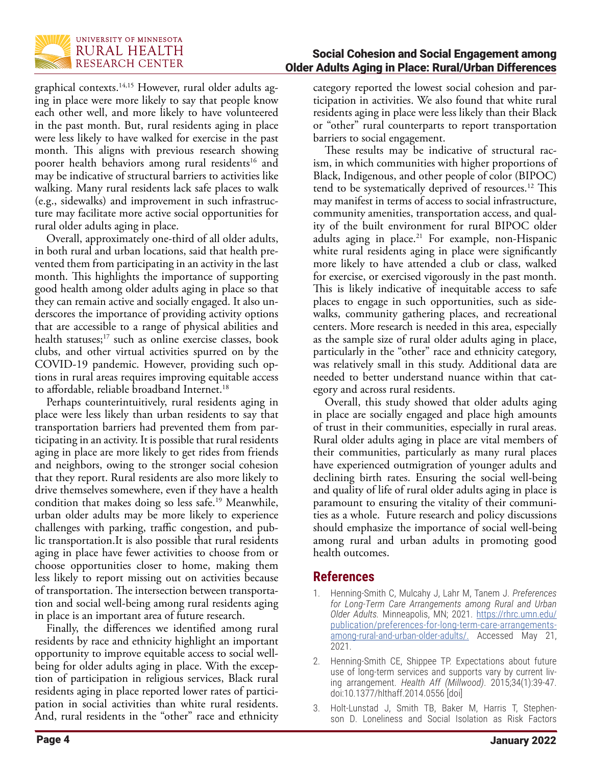

Social Cohesion and Social Engagement among Older Adults Aging in Place: Rural/Urban Differences

graphical contexts.<sup>14,15</sup> However, rural older adults aging in place were more likely to say that people know each other well, and more likely to have volunteered in the past month. But, rural residents aging in place were less likely to have walked for exercise in the past month. This aligns with previous research showing poorer health behaviors among rural residents<sup>16</sup> and may be indicative of structural barriers to activities like walking. Many rural residents lack safe places to walk (e.g., sidewalks) and improvement in such infrastructure may facilitate more active social opportunities for rural older adults aging in place.

Overall, approximately one-third of all older adults, in both rural and urban locations, said that health prevented them from participating in an activity in the last month. This highlights the importance of supporting good health among older adults aging in place so that they can remain active and socially engaged. It also underscores the importance of providing activity options that are accessible to a range of physical abilities and health statuses;<sup>17</sup> such as online exercise classes, book clubs, and other virtual activities spurred on by the COVID-19 pandemic. However, providing such options in rural areas requires improving equitable access to affordable, reliable broadband Internet.<sup>18</sup>

Perhaps counterintuitively, rural residents aging in place were less likely than urban residents to say that transportation barriers had prevented them from participating in an activity. It is possible that rural residents aging in place are more likely to get rides from friends and neighbors, owing to the stronger social cohesion that they report. Rural residents are also more likely to drive themselves somewhere, even if they have a health condition that makes doing so less safe.19 Meanwhile, urban older adults may be more likely to experience challenges with parking, traffic congestion, and public transportation.It is also possible that rural residents aging in place have fewer activities to choose from or choose opportunities closer to home, making them less likely to report missing out on activities because of transportation. The intersection between transportation and social well-being among rural residents aging in place is an important area of future research.

Finally, the differences we identified among rural residents by race and ethnicity highlight an important opportunity to improve equitable access to social wellbeing for older adults aging in place. With the exception of participation in religious services, Black rural residents aging in place reported lower rates of participation in social activities than white rural residents. And, rural residents in the "other" race and ethnicity

category reported the lowest social cohesion and participation in activities. We also found that white rural residents aging in place were less likely than their Black or "other" rural counterparts to report transportation barriers to social engagement.

These results may be indicative of structural racism, in which communities with higher proportions of Black, Indigenous, and other people of color (BIPOC) tend to be systematically deprived of resources.<sup>12</sup> This may manifest in terms of access to social infrastructure, community amenities, transportation access, and quality of the built environment for rural BIPOC older adults aging in place.<sup>21</sup> For example, non-Hispanic white rural residents aging in place were significantly more likely to have attended a club or class, walked for exercise, or exercised vigorously in the past month. This is likely indicative of inequitable access to safe places to engage in such opportunities, such as sidewalks, community gathering places, and recreational centers. More research is needed in this area, especially as the sample size of rural older adults aging in place, particularly in the "other" race and ethnicity category, was relatively small in this study. Additional data are needed to better understand nuance within that category and across rural residents.

Overall, this study showed that older adults aging in place are socially engaged and place high amounts of trust in their communities, especially in rural areas. Rural older adults aging in place are vital members of their communities, particularly as many rural places have experienced outmigration of younger adults and declining birth rates. Ensuring the social well-being and quality of life of rural older adults aging in place is paramount to ensuring the vitality of their communities as a whole. Future research and policy discussions should emphasize the importance of social well-being among rural and urban adults in promoting good health outcomes.

### **References**

- 1. Henning-Smith C, Mulcahy J, Lahr M, Tanem J. *Preferences for Long-Term Care Arrangements among Rural and Urban Older Adults.* Minneapolis, MN; 2021. [https://rhrc.umn.edu/](https://rhrc.umn.edu/publication/preferences-for-long-term-care-arrangements-among-rural-and-urban-older-adults/.) [publication/preferences-for-long-term-care-arrangements](https://rhrc.umn.edu/publication/preferences-for-long-term-care-arrangements-among-rural-and-urban-older-adults/.)[among-rural-and-urban-older-adults/.](https://rhrc.umn.edu/publication/preferences-for-long-term-care-arrangements-among-rural-and-urban-older-adults/.) Accessed May 21, 2021.
- 2. Henning-Smith CE, Shippee TP. Expectations about future use of long-term services and supports vary by current living arrangement. *Health Aff (Millwood)*. 2015;34(1):39-47. doi:10.1377/hlthaff.2014.0556 [doi]

3. Holt-Lunstad J, Smith TB, Baker M, Harris T, Stephenson D. Loneliness and Social Isolation as Risk Factors